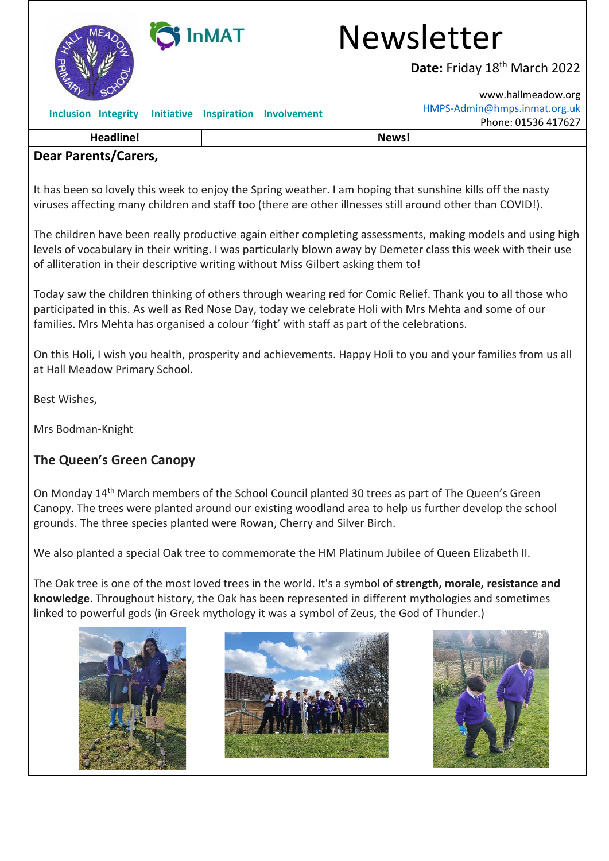

# InMAT Newsletter

Date: Friday 18<sup>th</sup> March 2022

[www.hallmeadow.org](http://www.hallmeadow.org/) [HMPS-Admin@hmps.inmat.org.uk](mailto:HMPS-Admin@hmps.inmat.org.uk) Phone: 01536 417627

**Inclusion Integrity Initiative Inspiration Involvement** 

**Headline! News!**

#### **Dear Parents/Carers,**

It has been so lovely this week to enjoy the Spring weather. I am hoping that sunshine kills off the nasty viruses affecting many children and staff too (there are other illnesses still around other than COVID!).

The children have been really productive again either completing assessments, making models and using high levels of vocabulary in their writing. I was particularly blown away by Demeter class this week with their use of alliteration in their descriptive writing without Miss Gilbert asking them to!

Today saw the children thinking of others through wearing red for Comic Relief. Thank you to all those who participated in this. As well as Red Nose Day, today we celebrate Holi with Mrs Mehta and some of our families. Mrs Mehta has organised a colour 'fight' with staff as part of the celebrations.

On this Holi, I wish you health, prosperity and achievements. Happy Holi to you and your families from us all at Hall Meadow Primary School.

Best Wishes,

Mrs Bodman-Knight

#### **The Queen's Green Canopy**

On Monday 14th March members of the School Council planted 30 trees as part of The Queen's Green Canopy. The trees were planted around our existing woodland area to help us further develop the school grounds. The three species planted were Rowan, Cherry and Silver Birch.

We also planted a special Oak tree to commemorate the HM Platinum Jubilee of Queen Elizabeth II.

The Oak tree is one of the most loved trees in the world. It's a symbol of **strength, morale, resistance and knowledge**. Throughout history, the Oak has been represented in different mythologies and sometimes linked to powerful gods (in Greek mythology it was a symbol of Zeus, the God of Thunder.)





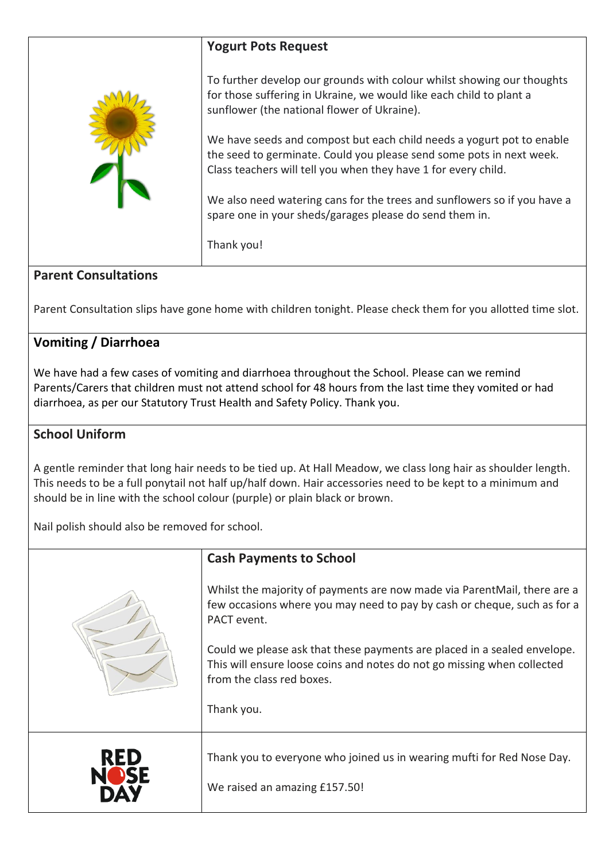|                                                                                                               | <b>Yogurt Pots Request</b>                                                                                                                                                                                      |  |
|---------------------------------------------------------------------------------------------------------------|-----------------------------------------------------------------------------------------------------------------------------------------------------------------------------------------------------------------|--|
|                                                                                                               | To further develop our grounds with colour whilst showing our thoughts<br>for those suffering in Ukraine, we would like each child to plant a<br>sunflower (the national flower of Ukraine).                    |  |
|                                                                                                               | We have seeds and compost but each child needs a yogurt pot to enable<br>the seed to germinate. Could you please send some pots in next week.<br>Class teachers will tell you when they have 1 for every child. |  |
|                                                                                                               | We also need watering cans for the trees and sunflowers so if you have a<br>spare one in your sheds/garages please do send them in.                                                                             |  |
|                                                                                                               | Thank you!                                                                                                                                                                                                      |  |
| <b>Parent Consultations</b>                                                                                   |                                                                                                                                                                                                                 |  |
| Parent Consultation slips have gone home with children tonight. Please check them for you allotted time slot. |                                                                                                                                                                                                                 |  |
| <b>Vomiting / Diarrhoea</b>                                                                                   |                                                                                                                                                                                                                 |  |

We have had a few cases of vomiting and diarrhoea throughout the School. Please can we remind Parents/Carers that children must not attend school for 48 hours from the last time they vomited or had diarrhoea, as per our Statutory Trust Health and Safety Policy. Thank you.

### **School Uniform**

A gentle reminder that long hair needs to be tied up. At Hall Meadow, we class long hair as shoulder length. This needs to be a full ponytail not half up/half down. Hair accessories need to be kept to a minimum and should be in line with the school colour (purple) or plain black or brown.

Nail polish should also be removed for school.

|     | <b>Cash Payments to School</b>                                                                                                                                                   |
|-----|----------------------------------------------------------------------------------------------------------------------------------------------------------------------------------|
|     | Whilst the majority of payments are now made via ParentMail, there are a<br>few occasions where you may need to pay by cash or cheque, such as for a<br>PACT event.              |
|     | Could we please ask that these payments are placed in a sealed envelope.<br>This will ensure loose coins and notes do not go missing when collected<br>from the class red boxes. |
|     | Thank you.                                                                                                                                                                       |
| RED | Thank you to everyone who joined us in wearing mufti for Red Nose Day.<br>We raised an amazing £157.50!                                                                          |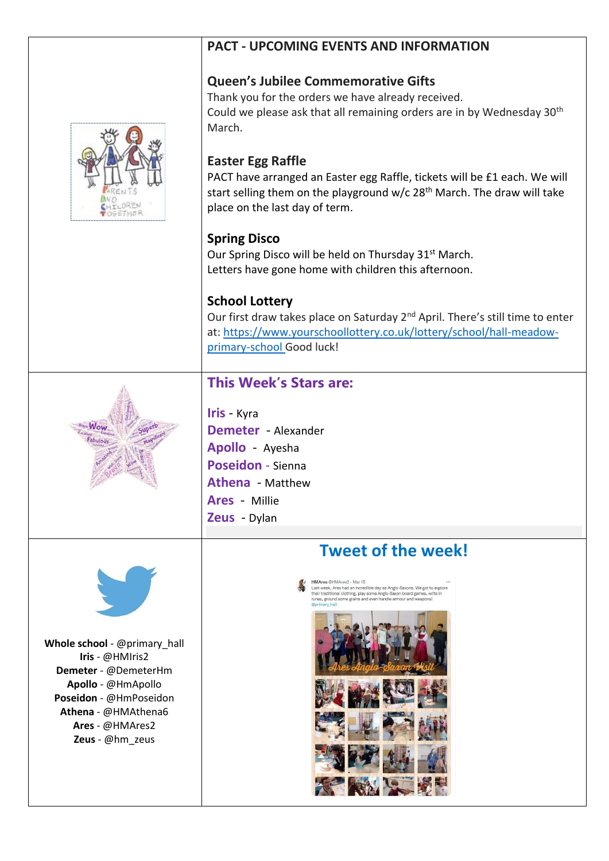#### **PACT - UPCOMING EVENTS AND INFORMATION**

#### **Queen's Jubilee Commemorative Gifts**

Thank you for the orders we have already received. Could we please ask that all remaining orders are in by Wednesday 30<sup>th</sup> March.



#### **Easter Egg Raffle**

PACT have arranged an Easter egg Raffle, tickets will be £1 each. We will start selling them on the playground w/c 28<sup>th</sup> March. The draw will take place on the last day of term.

#### **Spring Disco**

Our Spring Disco will be held on Thursday 31<sup>st</sup> March. Letters have gone home with children this afternoon.

#### **School Lottery**

Our first draw takes place on Saturday 2<sup>nd</sup> April. There's still time to enter at: [https://www.yourschoollottery.co.uk/lottery/school/hall-meadow](https://www.yourschoollottery.co.uk/lottery/school/hall-meadow-primary-school)[primary-school](https://www.yourschoollottery.co.uk/lottery/school/hall-meadow-primary-school) Good luck!

## **This Week's Stars are:**



**Iris** - Kyra **Demeter** - Alexander **Apollo** - Ayesha **Poseidon** - Sienna **Athena** - Matthew **Ares** - Millie **Zeus** - Dylan



**Whole school** - @primary\_hall **Iris** - @HMIris2 **Demeter** - @DemeterHm **Apollo** - @HmApollo **Poseidon** - @HmPoseidon **Athena** - @HMAthena6 **Ares** - @HMAres2 **Zeus** - @hm\_zeus

# **Tweet of the week!**

@HMAres2 - Mar 15<br>k, Ares had an incredible day as Anglo-Saxons. We got to<br>ittional clothing, play some Anglo-Saxon board games, w<br>ound some grains and even handle armour and weapons!